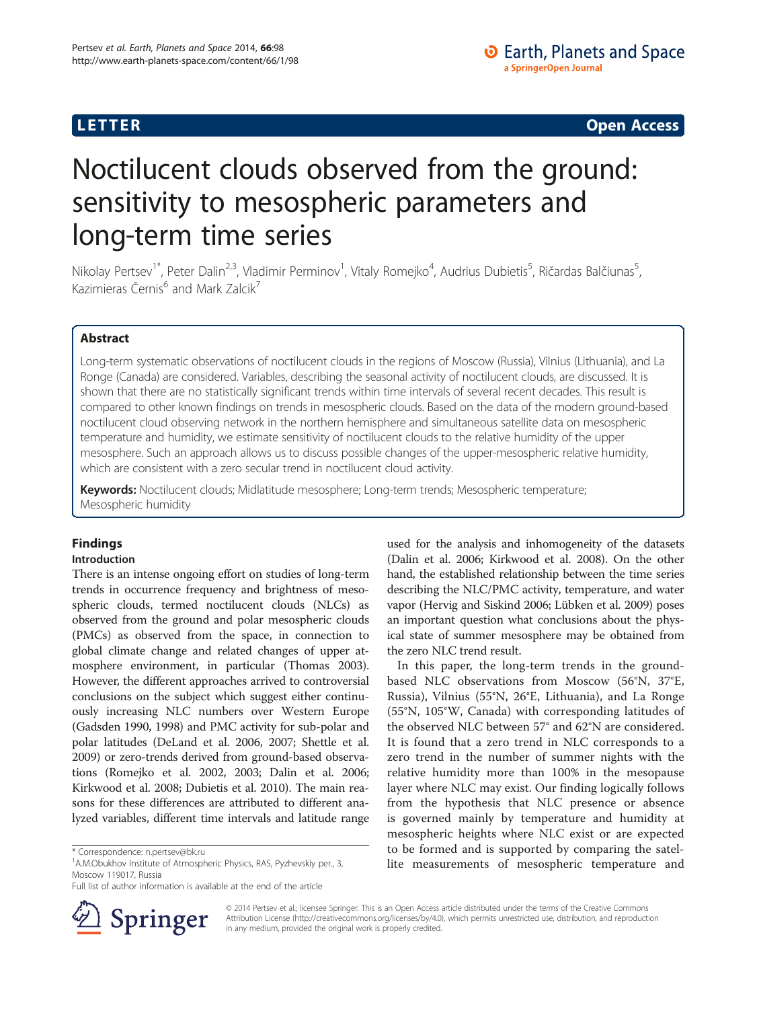**LETTER CONSTRUCTION CONSTRUCTION** 

# Noctilucent clouds observed from the ground: sensitivity to mesospheric parameters and long-term time series

Nikolay Pertsev<sup>1\*</sup>, Peter Dalin<sup>2,3</sup>, Vladimir Perminov<sup>1</sup>, Vitaly Romejko<sup>4</sup>, Audrius Dubietis<sup>5</sup>, Ričardas Balčiunas<sup>5</sup> , Kazimieras Černis<sup>6</sup> and Mark Zalcik<sup>7</sup>

# Abstract

Long-term systematic observations of noctilucent clouds in the regions of Moscow (Russia), Vilnius (Lithuania), and La Ronge (Canada) are considered. Variables, describing the seasonal activity of noctilucent clouds, are discussed. It is shown that there are no statistically significant trends within time intervals of several recent decades. This result is compared to other known findings on trends in mesospheric clouds. Based on the data of the modern ground-based noctilucent cloud observing network in the northern hemisphere and simultaneous satellite data on mesospheric temperature and humidity, we estimate sensitivity of noctilucent clouds to the relative humidity of the upper mesosphere. Such an approach allows us to discuss possible changes of the upper-mesospheric relative humidity, which are consistent with a zero secular trend in noctilucent cloud activity.

Keywords: Noctilucent clouds; Midlatitude mesosphere; Long-term trends; Mesospheric temperature; Mesospheric humidity

# Findings

# Introduction

There is an intense ongoing effort on studies of long-term trends in occurrence frequency and brightness of mesospheric clouds, termed noctilucent clouds (NLCs) as observed from the ground and polar mesospheric clouds (PMCs) as observed from the space, in connection to global climate change and related changes of upper atmosphere environment, in particular (Thomas [2003](#page-8-0)). However, the different approaches arrived to controversial conclusions on the subject which suggest either continuously increasing NLC numbers over Western Europe (Gadsden [1990](#page-7-0), [1998](#page-7-0)) and PMC activity for sub-polar and polar latitudes (DeLand et al. [2006, 2007;](#page-7-0) Shettle et al. [2009\)](#page-8-0) or zero-trends derived from ground-based observations (Romejko et al. [2002, 2003;](#page-7-0) Dalin et al. [2006](#page-7-0); Kirkwood et al. [2008;](#page-7-0) Dubietis et al. [2010](#page-7-0)). The main reasons for these differences are attributed to different analyzed variables, different time intervals and latitude range



In this paper, the long-term trends in the groundbased NLC observations from Moscow (56°N, 37°E, Russia), Vilnius (55°N, 26°E, Lithuania), and La Ronge (55°N, 105°W, Canada) with corresponding latitudes of the observed NLC between 57° and 62°N are considered. It is found that a zero trend in NLC corresponds to a zero trend in the number of summer nights with the relative humidity more than 100% in the mesopause layer where NLC may exist. Our finding logically follows from the hypothesis that NLC presence or absence is governed mainly by temperature and humidity at mesospheric heights where NLC exist or are expected to be formed and is supported by comparing the satellite measurements of mesospheric temperature and



© 2014 Pertsev et al.; licensee Springer. This is an Open Access article distributed under the terms of the Creative Commons Attribution License [\(http://creativecommons.org/licenses/by/4.0\)](http://creativecommons.org/licenses/by/4.0), which permits unrestricted use, distribution, and reproduction in any medium, provided the original work is properly credited.

<sup>\*</sup> Correspondence: [n.pertsev@bk.ru](mailto:n.pertsev@bk.ru) <sup>1</sup>

<sup>&</sup>lt;sup>1</sup> A.M.Obukhov Institute of Atmospheric Physics, RAS, Pyzhevskiy per., 3, Moscow 119017, Russia

Full list of author information is available at the end of the article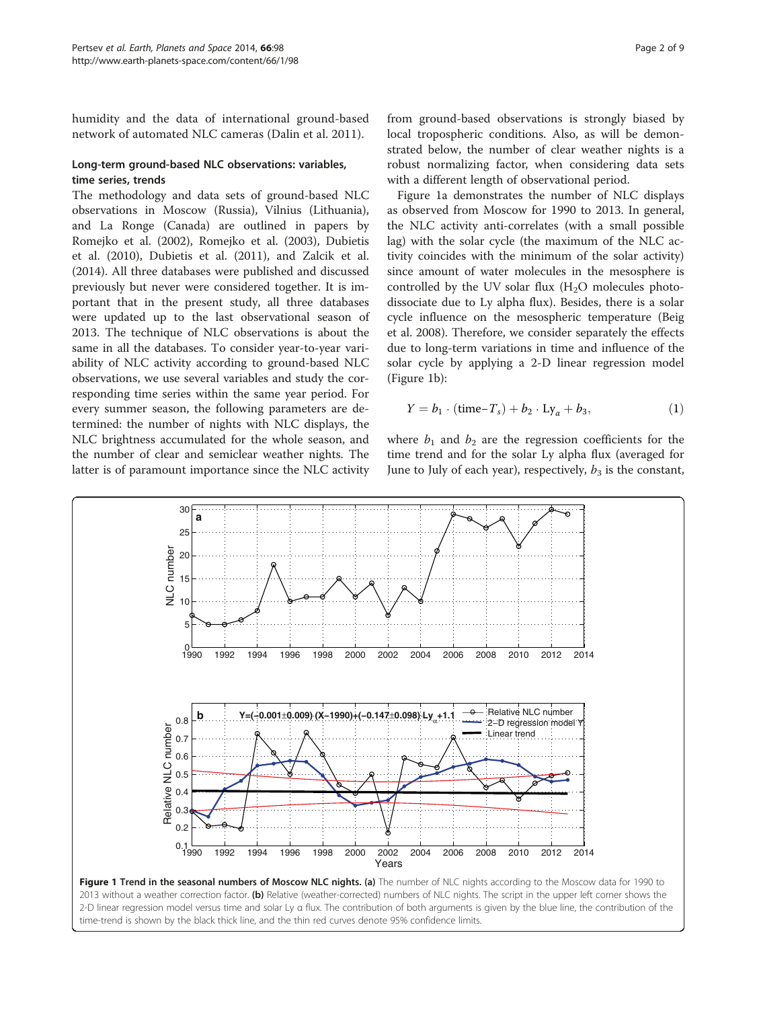<span id="page-1-0"></span>humidity and the data of international ground-based network of automated NLC cameras (Dalin et al. [2011](#page-7-0)).

# Long-term ground-based NLC observations: variables, time series, trends

The methodology and data sets of ground-based NLC observations in Moscow (Russia), Vilnius (Lithuania), and La Ronge (Canada) are outlined in papers by Romejko et al. ([2002\)](#page-7-0), Romejko et al. ([2003](#page-7-0)), Dubietis et al. [\(2010\)](#page-7-0), Dubietis et al. [\(2011](#page-7-0)), and Zalcik et al. ([2014](#page-8-0)). All three databases were published and discussed previously but never were considered together. It is important that in the present study, all three databases were updated up to the last observational season of 2013. The technique of NLC observations is about the same in all the databases. To consider year-to-year variability of NLC activity according to ground-based NLC observations, we use several variables and study the corresponding time series within the same year period. For every summer season, the following parameters are determined: the number of nights with NLC displays, the NLC brightness accumulated for the whole season, and the number of clear and semiclear weather nights. The latter is of paramount importance since the NLC activity

from ground-based observations is strongly biased by local tropospheric conditions. Also, as will be demonstrated below, the number of clear weather nights is a robust normalizing factor, when considering data sets with a different length of observational period.

Figure 1a demonstrates the number of NLC displays as observed from Moscow for 1990 to 2013. In general, the NLC activity anti-correlates (with a small possible lag) with the solar cycle (the maximum of the NLC activity coincides with the minimum of the solar activity) since amount of water molecules in the mesosphere is controlled by the UV solar flux  $(H<sub>2</sub>O)$  molecules photodissociate due to Ly alpha flux). Besides, there is a solar cycle influence on the mesospheric temperature (Beig et al. [2008](#page-7-0)). Therefore, we consider separately the effects due to long-term variations in time and influence of the solar cycle by applying a 2-D linear regression model (Figure 1b):

$$
Y = b_1 \cdot (\text{time-}T_s) + b_2 \cdot \text{Ly}_\alpha + b_3, \tag{1}
$$

where  $b_1$  and  $b_2$  are the regression coefficients for the time trend and for the solar Ly alpha flux (averaged for June to July of each year), respectively,  $b_3$  is the constant,



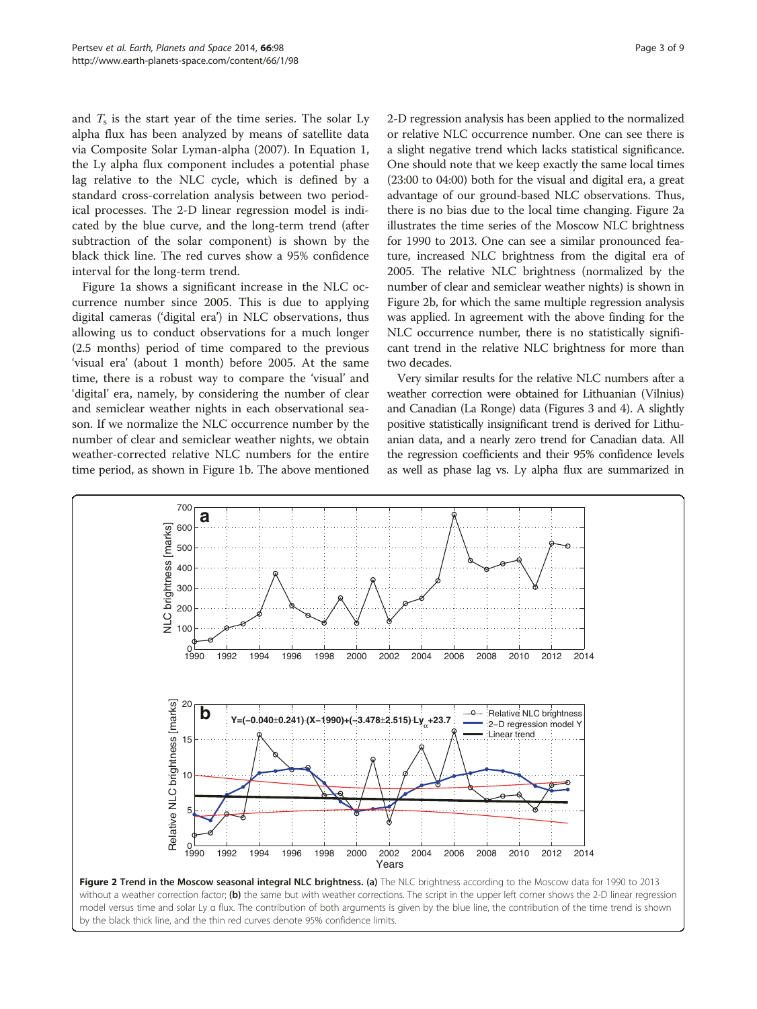<span id="page-2-0"></span>and  $T<sub>s</sub>$  is the start year of the time series. The solar Ly alpha flux has been analyzed by means of satellite data via Composite Solar Lyman-alpha [\(2007\)](#page-7-0). In Equation [1](#page-1-0), the Ly alpha flux component includes a potential phase lag relative to the NLC cycle, which is defined by a standard cross-correlation analysis between two periodical processes. The 2-D linear regression model is indicated by the blue curve, and the long-term trend (after subtraction of the solar component) is shown by the black thick line. The red curves show a 95% confidence interval for the long-term trend.

Figure [1](#page-1-0)a shows a significant increase in the NLC occurrence number since 2005. This is due to applying digital cameras ('digital era') in NLC observations, thus allowing us to conduct observations for a much longer (2.5 months) period of time compared to the previous 'visual era' (about 1 month) before 2005. At the same time, there is a robust way to compare the 'visual' and 'digital' era, namely, by considering the number of clear and semiclear weather nights in each observational season. If we normalize the NLC occurrence number by the number of clear and semiclear weather nights, we obtain weather-corrected relative NLC numbers for the entire time period, as shown in Figure [1](#page-1-0)b. The above mentioned 2-D regression analysis has been applied to the normalized or relative NLC occurrence number. One can see there is a slight negative trend which lacks statistical significance. One should note that we keep exactly the same local times (23:00 to 04:00) both for the visual and digital era, a great advantage of our ground-based NLC observations. Thus, there is no bias due to the local time changing. Figure 2a illustrates the time series of the Moscow NLC brightness for 1990 to 2013. One can see a similar pronounced feature, increased NLC brightness from the digital era of 2005. The relative NLC brightness (normalized by the number of clear and semiclear weather nights) is shown in Figure 2b, for which the same multiple regression analysis was applied. In agreement with the above finding for the NLC occurrence number, there is no statistically significant trend in the relative NLC brightness for more than two decades.

Very similar results for the relative NLC numbers after a weather correction were obtained for Lithuanian (Vilnius) and Canadian (La Ronge) data (Figures [3](#page-3-0) and [4\)](#page-3-0). A slightly positive statistically insignificant trend is derived for Lithuanian data, and a nearly zero trend for Canadian data. All the regression coefficients and their 95% confidence levels as well as phase lag vs. Ly alpha flux are summarized in



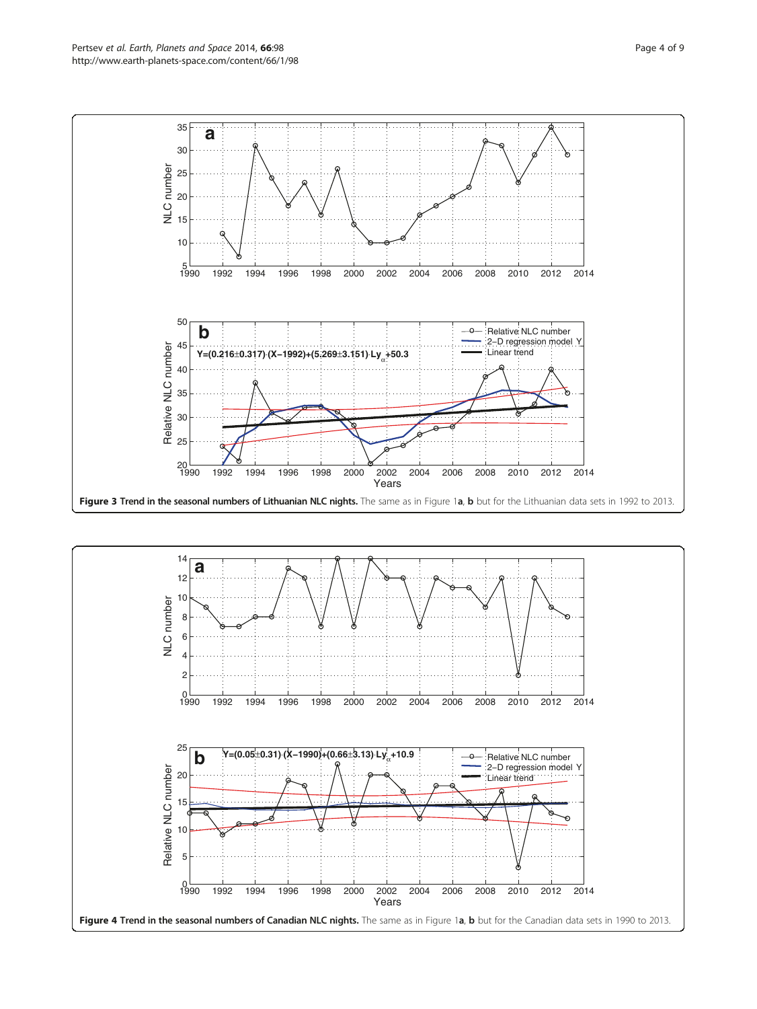<span id="page-3-0"></span>![](_page_3_Figure_2.jpeg)

![](_page_3_Figure_3.jpeg)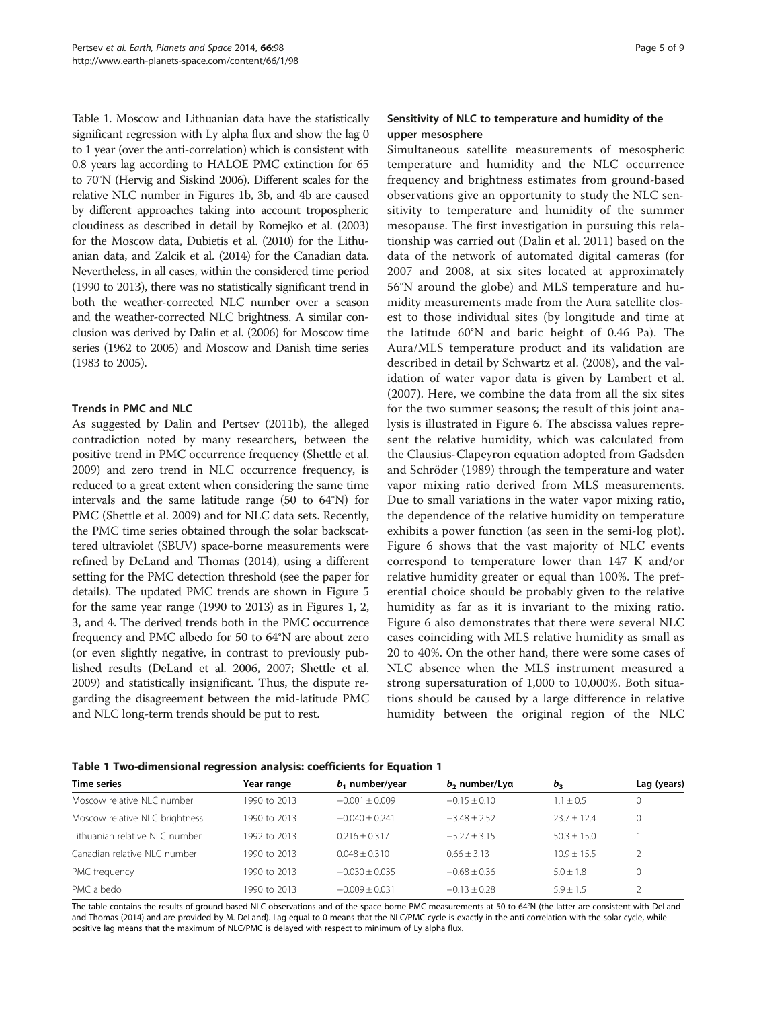Table 1. Moscow and Lithuanian data have the statistically significant regression with Ly alpha flux and show the lag 0 to 1 year (over the anti-correlation) which is consistent with 0.8 years lag according to HALOE PMC extinction for 65 to 70°N (Hervig and Siskind [2006\)](#page-7-0). Different scales for the relative NLC number in Figures [1](#page-1-0)b, [3](#page-3-0)b, and [4](#page-3-0)b are caused by different approaches taking into account tropospheric cloudiness as described in detail by Romejko et al. [\(2003](#page-7-0)) for the Moscow data, Dubietis et al. [\(2010](#page-7-0)) for the Lithuanian data, and Zalcik et al. [\(2014](#page-8-0)) for the Canadian data. Nevertheless, in all cases, within the considered time period (1990 to 2013), there was no statistically significant trend in both the weather-corrected NLC number over a season and the weather-corrected NLC brightness. A similar conclusion was derived by Dalin et al. ([2006\)](#page-7-0) for Moscow time series (1962 to 2005) and Moscow and Danish time series (1983 to 2005).

# Trends in PMC and NLC

As suggested by Dalin and Pertsev ([2011b\)](#page-7-0), the alleged contradiction noted by many researchers, between the positive trend in PMC occurrence frequency (Shettle et al. [2009\)](#page-8-0) and zero trend in NLC occurrence frequency, is reduced to a great extent when considering the same time intervals and the same latitude range (50 to 64°N) for PMC (Shettle et al. [2009\)](#page-8-0) and for NLC data sets. Recently, the PMC time series obtained through the solar backscattered ultraviolet (SBUV) space-borne measurements were refined by DeLand and Thomas [\(2014\)](#page-7-0), using a different setting for the PMC detection threshold (see the paper for details). The updated PMC trends are shown in Figure [5](#page-5-0) for the same year range (1990 to 2013) as in Figures [1](#page-1-0), [2](#page-2-0), [3,](#page-3-0) and [4](#page-3-0). The derived trends both in the PMC occurrence frequency and PMC albedo for 50 to 64°N are about zero (or even slightly negative, in contrast to previously published results (DeLand et al. [2006, 2007](#page-7-0); Shettle et al. [2009\)](#page-8-0) and statistically insignificant. Thus, the dispute regarding the disagreement between the mid-latitude PMC and NLC long-term trends should be put to rest.

# Sensitivity of NLC to temperature and humidity of the upper mesosphere

Simultaneous satellite measurements of mesospheric temperature and humidity and the NLC occurrence frequency and brightness estimates from ground-based observations give an opportunity to study the NLC sensitivity to temperature and humidity of the summer mesopause. The first investigation in pursuing this relationship was carried out (Dalin et al. [2011\)](#page-7-0) based on the data of the network of automated digital cameras (for 2007 and 2008, at six sites located at approximately 56°N around the globe) and MLS temperature and humidity measurements made from the Aura satellite closest to those individual sites (by longitude and time at the latitude 60°N and baric height of 0.46 Pa). The Aura/MLS temperature product and its validation are described in detail by Schwartz et al. [\(2008](#page-7-0)), and the validation of water vapor data is given by Lambert et al. ([2007\)](#page-7-0). Here, we combine the data from all the six sites for the two summer seasons; the result of this joint analysis is illustrated in Figure [6.](#page-5-0) The abscissa values represent the relative humidity, which was calculated from the Clausius-Clapeyron equation adopted from Gadsden and Schröder [\(1989](#page-7-0)) through the temperature and water vapor mixing ratio derived from MLS measurements. Due to small variations in the water vapor mixing ratio, the dependence of the relative humidity on temperature exhibits a power function (as seen in the semi-log plot). Figure [6](#page-5-0) shows that the vast majority of NLC events correspond to temperature lower than 147 K and/or relative humidity greater or equal than 100%. The preferential choice should be probably given to the relative humidity as far as it is invariant to the mixing ratio. Figure [6](#page-5-0) also demonstrates that there were several NLC cases coinciding with MLS relative humidity as small as 20 to 40%. On the other hand, there were some cases of NLC absence when the MLS instrument measured a strong supersaturation of 1,000 to 10,000%. Both situations should be caused by a large difference in relative humidity between the original region of the NLC

| Table 1 Two-dimensional regression analysis: coefficients for Equation 1 |  |  |  |
|--------------------------------------------------------------------------|--|--|--|
|                                                                          |  |  |  |

| Year range   | $b_1$ number/year | $b_2$ number/Lya | $b_{3}$       | Lag (years) |
|--------------|-------------------|------------------|---------------|-------------|
| 1990 to 2013 | $-0.001 + 0.009$  | $-0.15 + 0.10$   | $1.1 + 0.5$   | 0           |
| 1990 to 2013 | $-0.040 + 0.241$  | $-3.48 + 2.52$   | $23.7 + 12.4$ | 0           |
| 1992 to 2013 | $0.216 + 0.317$   | $-5.27 + 3.15$   | $50.3 + 15.0$ |             |
| 1990 to 2013 | $0.048 + 0.310$   | $0.66 + 3.13$    | $10.9 + 15.5$ |             |
| 1990 to 2013 | $-0.030 + 0.035$  | $-0.68 + 0.36$   | $5.0 + 1.8$   | 0           |
| 1990 to 2013 | $-0.009 + 0.031$  | $-0.13 + 0.28$   | $5.9 + 1.5$   |             |
|              |                   |                  |               |             |

The table contains the results of ground-based NLC observations and of the space-borne PMC measurements at 50 to 64°N (the latter are consistent with DeLand and Thomas [\(2014](#page-7-0)) and are provided by M. DeLand). Lag equal to 0 means that the NLC/PMC cycle is exactly in the anti-correlation with the solar cycle, while positive lag means that the maximum of NLC/PMC is delayed with respect to minimum of Ly alpha flux.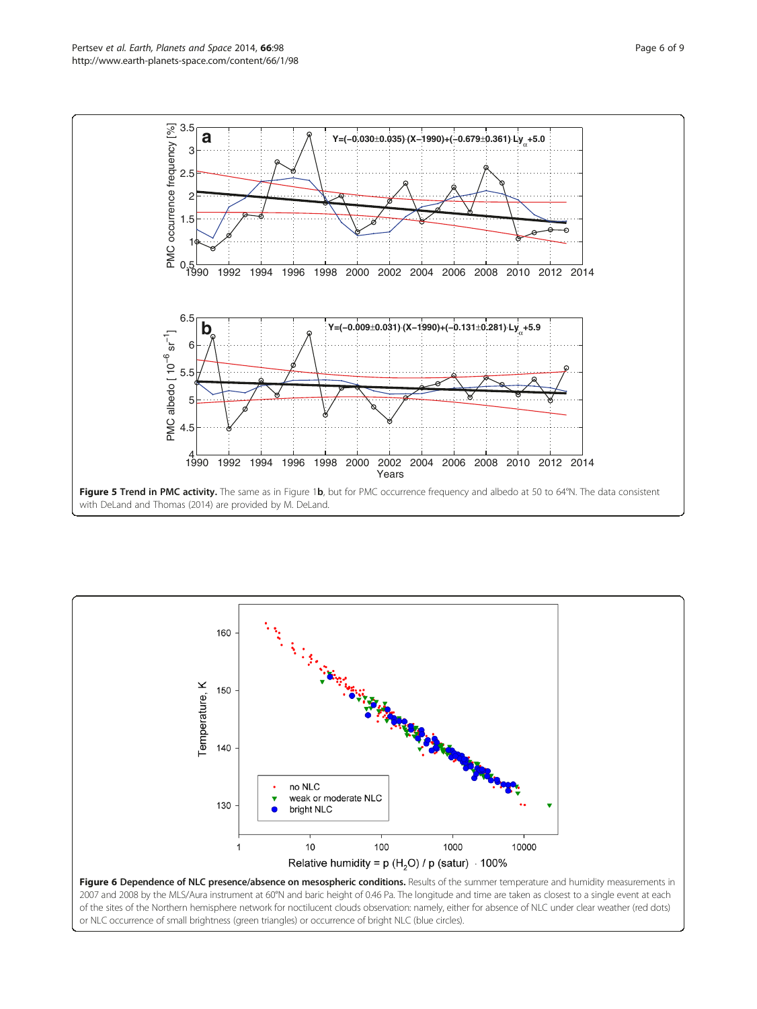<span id="page-5-0"></span>![](_page_5_Figure_2.jpeg)

![](_page_5_Figure_3.jpeg)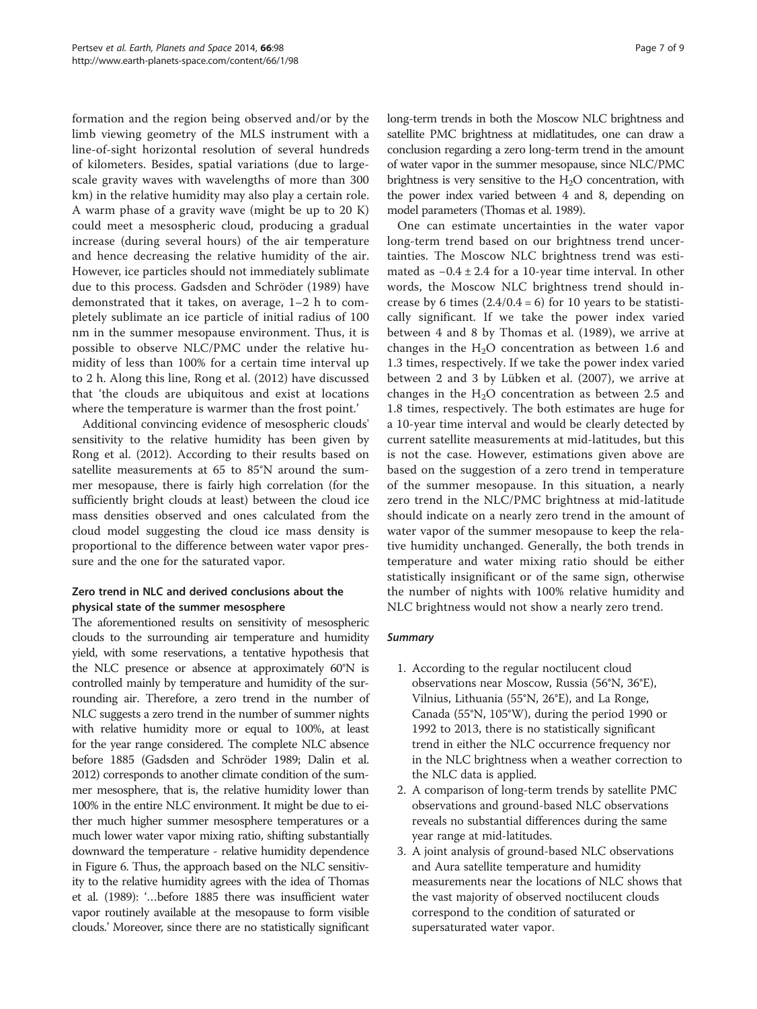formation and the region being observed and/or by the limb viewing geometry of the MLS instrument with a line-of-sight horizontal resolution of several hundreds of kilometers. Besides, spatial variations (due to largescale gravity waves with wavelengths of more than 300 km) in the relative humidity may also play a certain role. A warm phase of a gravity wave (might be up to 20 K) could meet a mesospheric cloud, producing a gradual increase (during several hours) of the air temperature and hence decreasing the relative humidity of the air. However, ice particles should not immediately sublimate due to this process. Gadsden and Schröder ([1989](#page-7-0)) have demonstrated that it takes, on average, 1–2 h to completely sublimate an ice particle of initial radius of 100 nm in the summer mesopause environment. Thus, it is possible to observe NLC/PMC under the relative humidity of less than 100% for a certain time interval up to 2 h. Along this line, Rong et al. ([2012\)](#page-7-0) have discussed that 'the clouds are ubiquitous and exist at locations where the temperature is warmer than the frost point.'

Additional convincing evidence of mesospheric clouds' sensitivity to the relative humidity has been given by Rong et al. [\(2012\)](#page-7-0). According to their results based on satellite measurements at 65 to 85°N around the summer mesopause, there is fairly high correlation (for the sufficiently bright clouds at least) between the cloud ice mass densities observed and ones calculated from the cloud model suggesting the cloud ice mass density is proportional to the difference between water vapor pressure and the one for the saturated vapor.

# Zero trend in NLC and derived conclusions about the physical state of the summer mesosphere

The aforementioned results on sensitivity of mesospheric clouds to the surrounding air temperature and humidity yield, with some reservations, a tentative hypothesis that the NLC presence or absence at approximately 60°N is controlled mainly by temperature and humidity of the surrounding air. Therefore, a zero trend in the number of NLC suggests a zero trend in the number of summer nights with relative humidity more or equal to 100%, at least for the year range considered. The complete NLC absence before 1885 (Gadsden and Schröder [1989](#page-7-0); Dalin et al. [2012\)](#page-7-0) corresponds to another climate condition of the summer mesosphere, that is, the relative humidity lower than 100% in the entire NLC environment. It might be due to either much higher summer mesosphere temperatures or a much lower water vapor mixing ratio, shifting substantially downward the temperature - relative humidity dependence in Figure [6](#page-5-0). Thus, the approach based on the NLC sensitivity to the relative humidity agrees with the idea of Thomas et al. [\(1989\)](#page-8-0): '…before 1885 there was insufficient water vapor routinely available at the mesopause to form visible clouds.' Moreover, since there are no statistically significant long-term trends in both the Moscow NLC brightness and satellite PMC brightness at midlatitudes, one can draw a conclusion regarding a zero long-term trend in the amount of water vapor in the summer mesopause, since NLC/PMC brightness is very sensitive to the  $H_2O$  concentration, with the power index varied between 4 and 8, depending on model parameters (Thomas et al. [1989\)](#page-8-0).

One can estimate uncertainties in the water vapor long-term trend based on our brightness trend uncertainties. The Moscow NLC brightness trend was estimated as −0.4 ± 2.4 for a 10-year time interval. In other words, the Moscow NLC brightness trend should increase by 6 times  $(2.4/0.4 = 6)$  for 10 years to be statistically significant. If we take the power index varied between 4 and 8 by Thomas et al. ([1989\)](#page-8-0), we arrive at changes in the  $H<sub>2</sub>O$  concentration as between 1.6 and 1.3 times, respectively. If we take the power index varied between 2 and 3 by Lübken et al. ([2007](#page-7-0)), we arrive at changes in the  $H<sub>2</sub>O$  concentration as between 2.5 and 1.8 times, respectively. The both estimates are huge for a 10-year time interval and would be clearly detected by current satellite measurements at mid-latitudes, but this is not the case. However, estimations given above are based on the suggestion of a zero trend in temperature of the summer mesopause. In this situation, a nearly zero trend in the NLC/PMC brightness at mid-latitude should indicate on a nearly zero trend in the amount of water vapor of the summer mesopause to keep the relative humidity unchanged. Generally, the both trends in temperature and water mixing ratio should be either statistically insignificant or of the same sign, otherwise the number of nights with 100% relative humidity and NLC brightness would not show a nearly zero trend.

## **Summary**

- 1. According to the regular noctilucent cloud observations near Moscow, Russia (56°N, 36°E), Vilnius, Lithuania (55°N, 26°E), and La Ronge, Canada (55°N, 105°W), during the period 1990 or 1992 to 2013, there is no statistically significant trend in either the NLC occurrence frequency nor in the NLC brightness when a weather correction to the NLC data is applied.
- 2. A comparison of long-term trends by satellite PMC observations and ground-based NLC observations reveals no substantial differences during the same year range at mid-latitudes.
- 3. A joint analysis of ground-based NLC observations and Aura satellite temperature and humidity measurements near the locations of NLC shows that the vast majority of observed noctilucent clouds correspond to the condition of saturated or supersaturated water vapor.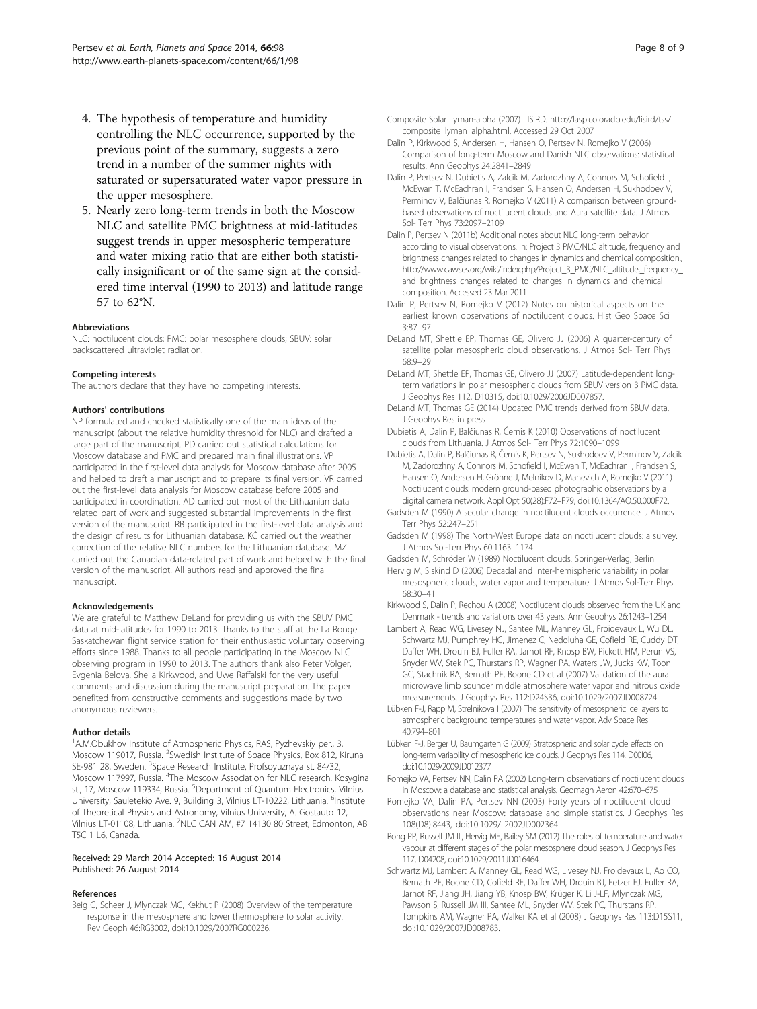- <span id="page-7-0"></span>4. The hypothesis of temperature and humidity controlling the NLC occurrence, supported by the previous point of the summary, suggests a zero trend in a number of the summer nights with saturated or supersaturated water vapor pressure in the upper mesosphere.
- 5. Nearly zero long-term trends in both the Moscow NLC and satellite PMC brightness at mid-latitudes suggest trends in upper mesospheric temperature and water mixing ratio that are either both statistically insignificant or of the same sign at the considered time interval (1990 to 2013) and latitude range 57 to 62°N.

#### Abbreviations

NLC: noctilucent clouds; PMC: polar mesosphere clouds; SBUV: solar backscattered ultraviolet radiation.

#### Competing interests

The authors declare that they have no competing interests.

#### Authors' contributions

NP formulated and checked statistically one of the main ideas of the manuscript (about the relative humidity threshold for NLC) and drafted a large part of the manuscript. PD carried out statistical calculations for Moscow database and PMC and prepared main final illustrations. VP participated in the first-level data analysis for Moscow database after 2005 and helped to draft a manuscript and to prepare its final version. VR carried out the first-level data analysis for Moscow database before 2005 and participated in coordination. AD carried out most of the Lithuanian data related part of work and suggested substantial improvements in the first version of the manuscript. RB participated in the first-level data analysis and the design of results for Lithuanian database. KČ carried out the weather correction of the relative NLC numbers for the Lithuanian database. MZ carried out the Canadian data-related part of work and helped with the final version of the manuscript. All authors read and approved the final manuscript.

#### Acknowledgements

We are grateful to Matthew DeLand for providing us with the SBUV PMC data at mid-latitudes for 1990 to 2013. Thanks to the staff at the La Ronge Saskatchewan flight service station for their enthusiastic voluntary observing efforts since 1988. Thanks to all people participating in the Moscow NLC observing program in 1990 to 2013. The authors thank also Peter Völger, Evgenia Belova, Sheila Kirkwood, and Uwe Raffalski for the very useful comments and discussion during the manuscript preparation. The paper benefited from constructive comments and suggestions made by two anonymous reviewers.

#### Author details

<sup>1</sup> A.M.Obukhov Institute of Atmospheric Physics, RAS, Pyzhevskiy per., 3, Moscow 119017, Russia. <sup>2</sup>Swedish Institute of Space Physics, Box 812, Kiruna SE-981 28, Sweden. <sup>3</sup>Space Research Institute, Profsoyuznaya st. 84/32, Moscow 117997, Russia. <sup>4</sup>The Moscow Association for NLC research, Kosygina st., 17, Moscow 119334, Russia. <sup>5</sup>Department of Quantum Electronics, Vilnius University, Sauletekio Ave. 9, Building 3, Vilnius LT-10222, Lithuania. <sup>6</sup>Institute of Theoretical Physics and Astronomy, Vilnius University, A. Gostauto 12, Vilnius LT-01108, Lithuania. <sup>7</sup>NLC CAN AM, #7 14130 80 Street, Edmonton, AB T5C 1 L6, Canada.

### Received: 29 March 2014 Accepted: 16 August 2014 Published: 26 August 2014

#### References

Beig G, Scheer J, Mlynczak MG, Kekhut P (2008) Overview of the temperature response in the mesosphere and lower thermosphere to solar activity. Rev Geoph 46:RG3002, doi:10.1029/2007RG000236.

- Composite Solar Lyman-alpha (2007) LISIRD. [http://lasp.colorado.edu/lisird/tss/](http://lasp.colorado.edu/lisird/tss/composite_lyman_alpha.html) [composite\\_lyman\\_alpha.html](http://lasp.colorado.edu/lisird/tss/composite_lyman_alpha.html). Accessed 29 Oct 2007
- Dalin P, Kirkwood S, Andersen H, Hansen O, Pertsev N, Romejko V (2006) Comparison of long-term Moscow and Danish NLC observations: statistical results. Ann Geophys 24:2841–2849
- Dalin P, Pertsev N, Dubietis A, Zalcik M, Zadorozhny A, Connors M, Schofield I, McEwan T, McEachran I, Frandsen S, Hansen O, Andersen H, Sukhodoev V, Perminov V, Balčiunas R, Romejko V (2011) A comparison between groundbased observations of noctilucent clouds and Aura satellite data. J Atmos Sol- Terr Phys 73:2097–2109
- Dalin P, Pertsev N (2011b) Additional notes about NLC long-term behavior according to visual observations. In: Project 3 PMC/NLC altitude, frequency and brightness changes related to changes in dynamics and chemical composition., http://www.cawses.org/wiki/index.php/Project\_3\_PMC/NLC\_altitude,\_frequency [and\\_brightness\\_changes\\_related\\_to\\_changes\\_in\\_dynamics\\_and\\_chemical\\_](http://www.cawses.org/wiki/index.php/Project_3_PMC/NLC_altitude,_frequency_and_brightness_changes_related_to_changes_in_dynamics_and_chemical_composition) [composition.](http://www.cawses.org/wiki/index.php/Project_3_PMC/NLC_altitude,_frequency_and_brightness_changes_related_to_changes_in_dynamics_and_chemical_composition) Accessed 23 Mar 2011
- Dalin P, Pertsev N, Romejko V (2012) Notes on historical aspects on the earliest known observations of noctilucent clouds. Hist Geo Space Sci 3:87–97
- DeLand MT, Shettle EP, Thomas GE, Olivero JJ (2006) A quarter-century of satellite polar mesospheric cloud observations. J Atmos Sol- Terr Phys 68:9–29
- DeLand MT, Shettle EP, Thomas GE, Olivero JJ (2007) Latitude-dependent longterm variations in polar mesospheric clouds from SBUV version 3 PMC data. J Geophys Res 112, D10315, doi:10.1029/2006JD007857.
- DeLand MT, Thomas GE (2014) Updated PMC trends derived from SBUV data. J Geophys Res in press
- Dubietis A, Dalin P, Balčiunas R, Černis K (2010) Observations of noctilucent clouds from Lithuania. J Atmos Sol- Terr Phys 72:1090–1099
- Dubietis A, Dalin P, Balčiunas R, Černis K, Pertsev N, Sukhodoev V, Perminov V, Zalcik M, Zadorozhny A, Connors M, Schofield I, McEwan T, McEachran I, Frandsen S, Hansen O, Andersen H, Grönne J, Melnikov D, Manevich A, Romejko V (2011) Noctilucent clouds: modern ground-based photographic observations by a digital camera network. Appl Opt 50(28):F72–F79, doi:10.1364/AO.50.000F72.
- Gadsden M (1990) A secular change in noctilucent clouds occurrence. J Atmos Terr Phys 52:247–251
- Gadsden M (1998) The North-West Europe data on noctilucent clouds: a survey. J Atmos Sol-Terr Phys 60:1163–1174

Gadsden M, Schröder W (1989) Noctilucent clouds. Springer-Verlag, Berlin

- Hervig M, Siskind D (2006) Decadal and inter-hemispheric variability in polar mesospheric clouds, water vapor and temperature. J Atmos Sol-Terr Phys 68:30–41
- Kirkwood S, Dalin P, Rechou A (2008) Noctilucent clouds observed from the UK and Denmark - trends and variations over 43 years. Ann Geophys 26:1243–1254
- Lambert A, Read WG, Livesey NJ, Santee ML, Manney GL, Froidevaux L, Wu DL, Schwartz MJ, Pumphrey HC, Jimenez C, Nedoluha GE, Cofield RE, Cuddy DT, Daffer WH, Drouin BJ, Fuller RA, Jarnot RF, Knosp BW, Pickett HM, Perun VS, Snyder WV, Stek PC, Thurstans RP, Wagner PA, Waters JW, Jucks KW, Toon GC, Stachnik RA, Bernath PF, Boone CD et al (2007) Validation of the aura microwave limb sounder middle atmosphere water vapor and nitrous oxide measurements. J Geophys Res 112:D24S36, doi:10.1029/2007JD008724.
- Lübken F-J, Rapp M, Strelnikova I (2007) The sensitivity of mesospheric ice layers to atmospheric background temperatures and water vapor. Adv Space Res 40:794–801
- Lübken F-J, Berger U, Baumgarten G (2009) Stratospheric and solar cycle effects on long-term variability of mesospheric ice clouds. J Geophys Res 114, D00I06, doi:10.1029/2009JD012377
- Romejko VA, Pertsev NN, Dalin PA (2002) Long-term observations of noctilucent clouds in Moscow: a database and statistical analysis. Geomagn Aeron 42:670–675
- Romejko VA, Dalin PA, Pertsev NN (2003) Forty years of noctilucent cloud observations near Moscow: database and simple statistics. J Geophys Res 108(D8):8443, doi:10.1029/ 2002JD002364
- Rong PP, Russell JM III, Hervig ME, Bailey SM (2012) The roles of temperature and water vapour at different stages of the polar mesosphere cloud season. J Geophys Res 117, D04208, doi:10.1029/2011JD016464.
- Schwartz MJ, Lambert A, Manney GL, Read WG, Livesey NJ, Froidevaux L, Ao CO, Bernath PF, Boone CD, Cofield RE, Daffer WH, Drouin BJ, Fetzer EJ, Fuller RA, Jarnot RF, Jiang JH, Jiang YB, Knosp BW, Krüger K, Li J-LF, Mlynczak MG, Pawson S, Russell JM III, Santee ML, Snyder WV, Stek PC, Thurstans RP, Tompkins AM, Wagner PA, Walker KA et al (2008) J Geophys Res 113:D15S11, doi:10.1029/2007JD008783.